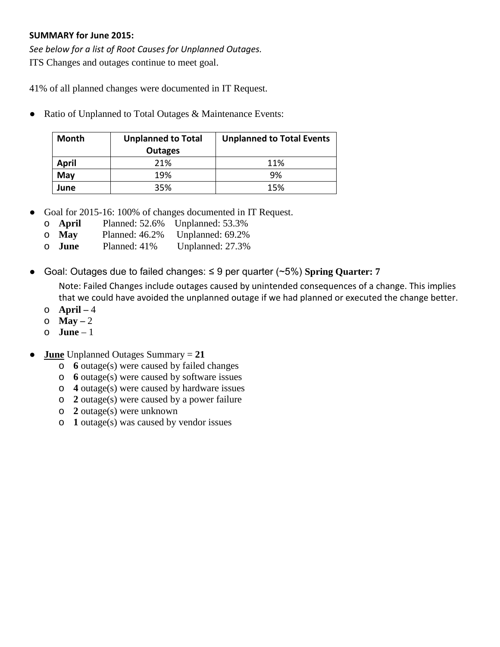## **SUMMARY for June 2015:**

*See below for a list of Root Causes for Unplanned Outages.* ITS Changes and outages continue to meet goal.

41% of all planned changes were documented in IT Request.

● Ratio of Unplanned to Total Outages & Maintenance Events:

| <b>Month</b> | <b>Unplanned to Total</b><br><b>Outages</b> | <b>Unplanned to Total Events</b> |  |  |  |
|--------------|---------------------------------------------|----------------------------------|--|--|--|
| <b>April</b> | 21%                                         | 11%                              |  |  |  |
| May          | 19%                                         | 9%                               |  |  |  |
| June         | 35%                                         | 15%                              |  |  |  |

- Goal for 2015-16: 100% of changes documented in IT Request.
	- o **April** Planned: 52.6% Unplanned: 53.3%
	- o **May** Planned: 46.2% Unplanned: 69.2%
	- o **June** Planned: 41% Unplanned: 27.3%
- Goal: Outages due to failed changes: ≤ 9 per quarter (~5%) **Spring Quarter: 7**

Note: Failed Changes include outages caused by unintended consequences of a change. This implies that we could have avoided the unplanned outage if we had planned or executed the change better.

- o **April –** 4
- o **May –** 2
- o **June**  1
- **June** Unplanned Outages Summary = **21**
	- o **6** outage(s) were caused by failed changes
	- o **6** outage(s) were caused by software issues
	- o **4** outage(s) were caused by hardware issues
	- o **2** outage(s) were caused by a power failure
	- o **2** outage(s) were unknown
	- o **1** outage(s) was caused by vendor issues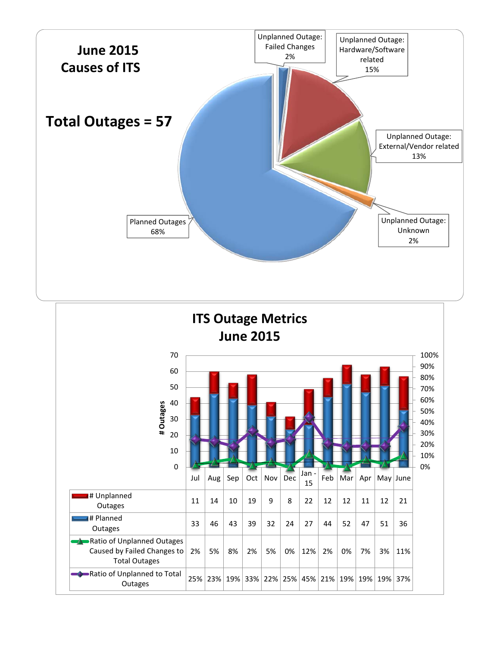